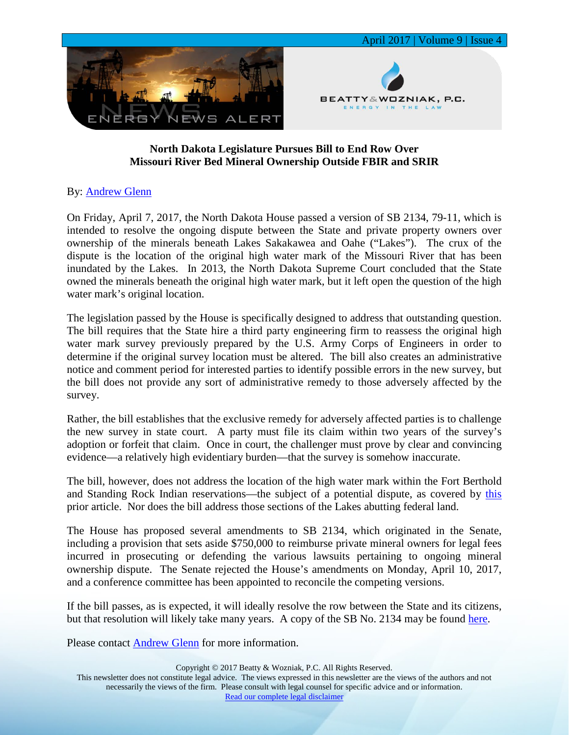

## **North Dakota Legislature Pursues Bill to End Row Over Missouri River Bed Mineral Ownership Outside FBIR and SRIR**

## By: [Andrew Glenn](https://www.bwenergylaw.com/andrew-glenn)

On Friday, April 7, 2017, the North Dakota House passed a version of SB 2134, 79-11, which is intended to resolve the ongoing dispute between the State and private property owners over ownership of the minerals beneath Lakes Sakakawea and Oahe ("Lakes"). The crux of the dispute is the location of the original high water mark of the Missouri River that has been inundated by the Lakes. In 2013, the North Dakota Supreme Court concluded that the State owned the minerals beneath the original high water mark, but it left open the question of the high water mark's original location.

The legislation passed by the House is specifically designed to address that outstanding question. The bill requires that the State hire a third party engineering firm to reassess the original high water mark survey previously prepared by the U.S. Army Corps of Engineers in order to determine if the original survey location must be altered. The bill also creates an administrative notice and comment period for interested parties to identify possible errors in the new survey, but the bill does not provide any sort of administrative remedy to those adversely affected by the survey.

Rather, the bill establishes that the exclusive remedy for adversely affected parties is to challenge the new survey in state court. A party must file its claim within two years of the survey's adoption or forfeit that claim. Once in court, the challenger must prove by clear and convincing evidence—a relatively high evidentiary burden—that the survey is somehow inaccurate.

The bill, however, does not address the location of the high water mark within the Fort Berthold and Standing Rock Indian reservations—the subject of a potential dispute, as covered by [this](https://media.wix.com/ugd/2f2374_868947daab5747e991e25a5edb96ba7d.pdf) prior article. Nor does the bill address those sections of the Lakes abutting federal land.

The House has proposed several amendments to SB 2134, which originated in the Senate, including a provision that sets aside \$750,000 to reimburse private mineral owners for legal fees incurred in prosecuting or defending the various lawsuits pertaining to ongoing mineral ownership dispute. The Senate rejected the House's amendments on Monday, April 10, 2017, and a conference committee has been appointed to reconcile the competing versions.

If the bill passes, as is expected, it will ideally resolve the row between the State and its citizens, but that resolution will likely take many years. A copy of the SB No. 2134 may be found [here.](https://media.wix.com/ugd/2f2374_3f78b79a542e47a79601815b45b34b90.pdf)

Please contact **Andrew Glenn** for more information.

This newsletter does not constitute legal advice. The views expressed in this newsletter are the views of the authors and not necessarily the views of the firm. Please consult with legal counsel for specific advice and or information. [Read our complete legal disclaimer](http://www.bwenergylaw.com/#!disclaimer/c1x1w)